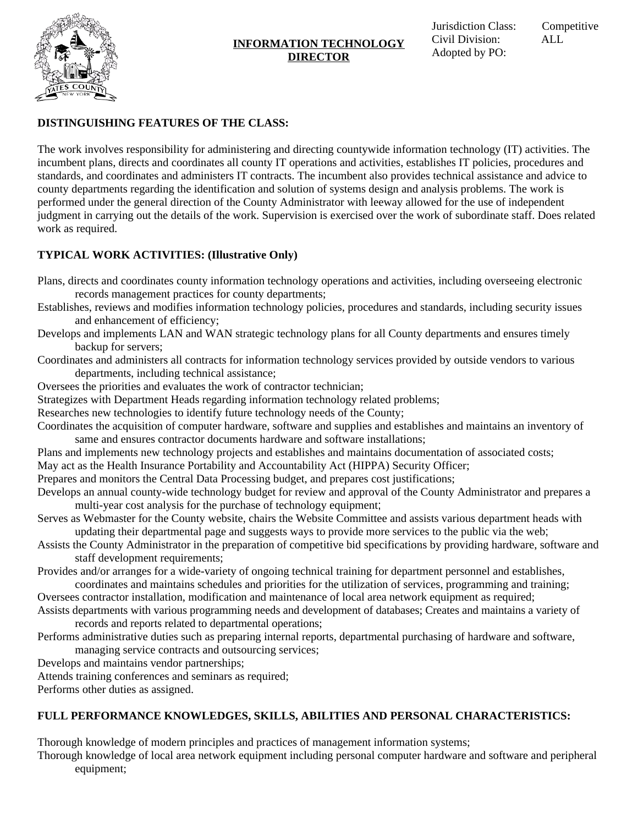

#### Jurisdiction Class: Competitive Civil Division: ALL Adopted by PO:

### **DISTINGUISHING FEATURES OF THE CLASS:**

The work involves responsibility for administering and directing countywide information technology (IT) activities. The incumbent plans, directs and coordinates all county IT operations and activities, establishes IT policies, procedures and standards, and coordinates and administers IT contracts. The incumbent also provides technical assistance and advice to county departments regarding the identification and solution of systems design and analysis problems. The work is performed under the general direction of the County Administrator with leeway allowed for the use of independent judgment in carrying out the details of the work. Supervision is exercised over the work of subordinate staff. Does related work as required.

## **TYPICAL WORK ACTIVITIES: (Illustrative Only)**

- Plans, directs and coordinates county information technology operations and activities, including overseeing electronic records management practices for county departments;
- Establishes, reviews and modifies information technology policies, procedures and standards, including security issues and enhancement of efficiency;
- Develops and implements LAN and WAN strategic technology plans for all County departments and ensures timely backup for servers;
- Coordinates and administers all contracts for information technology services provided by outside vendors to various departments, including technical assistance;
- Oversees the priorities and evaluates the work of contractor technician;
- Strategizes with Department Heads regarding information technology related problems;
- Researches new technologies to identify future technology needs of the County;
- Coordinates the acquisition of computer hardware, software and supplies and establishes and maintains an inventory of same and ensures contractor documents hardware and software installations;
- Plans and implements new technology projects and establishes and maintains documentation of associated costs;
- May act as the Health Insurance Portability and Accountability Act (HIPPA) Security Officer;
- Prepares and monitors the Central Data Processing budget, and prepares cost justifications;
- Develops an annual county-wide technology budget for review and approval of the County Administrator and prepares a multi-year cost analysis for the purchase of technology equipment;
- Serves as Webmaster for the County website, chairs the Website Committee and assists various department heads with updating their departmental page and suggests ways to provide more services to the public via the web;
- Assists the County Administrator in the preparation of competitive bid specifications by providing hardware, software and staff development requirements;
- Provides and/or arranges for a wide-variety of ongoing technical training for department personnel and establishes, coordinates and maintains schedules and priorities for the utilization of services, programming and training;
- Oversees contractor installation, modification and maintenance of local area network equipment as required; Assists departments with various programming needs and development of databases; Creates and maintains a variety of
- records and reports related to departmental operations;
- Performs administrative duties such as preparing internal reports, departmental purchasing of hardware and software, managing service contracts and outsourcing services;
- Develops and maintains vendor partnerships;
- Attends training conferences and seminars as required;
- Performs other duties as assigned.

# **FULL PERFORMANCE KNOWLEDGES, SKILLS, ABILITIES AND PERSONAL CHARACTERISTICS:**

Thorough knowledge of modern principles and practices of management information systems;

Thorough knowledge of local area network equipment including personal computer hardware and software and peripheral equipment;